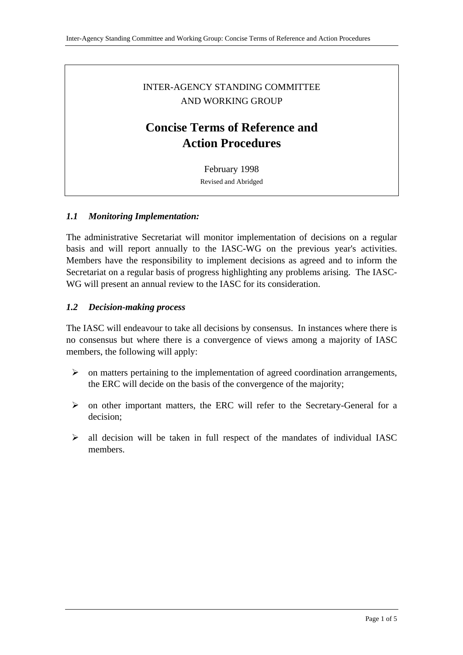# INTER-AGENCY STANDING COMMITTEE AND WORKING GROUP

# **Concise Terms of Reference and Action Procedures**

February 1998 Revised and Abridged

#### *1.1 Monitoring Implementation:*

The administrative Secretariat will monitor implementation of decisions on a regular basis and will report annually to the IASC-WG on the previous year's activities. Members have the responsibility to implement decisions as agreed and to inform the Secretariat on a regular basis of progress highlighting any problems arising. The IASC-WG will present an annual review to the IASC for its consideration.

#### *1.2 Decision-making process*

The IASC will endeavour to take all decisions by consensus. In instances where there is no consensus but where there is a convergence of views among a majority of IASC members, the following will apply:

- $\triangleright$  on matters pertaining to the implementation of agreed coordination arrangements, the ERC will decide on the basis of the convergence of the majority;
- $\triangleright$  on other important matters, the ERC will refer to the Secretary-General for a decision;
- $\triangleright$  all decision will be taken in full respect of the mandates of individual IASC members.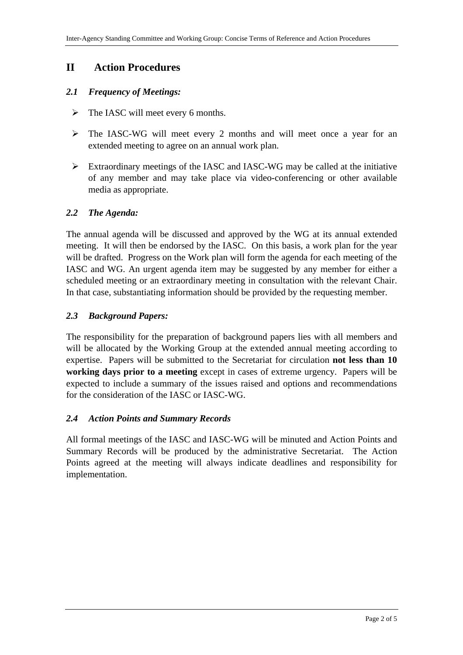# **II Action Procedures**

### *2.1 Frequency of Meetings:*

- $\triangleright$  The IASC will meet every 6 months.
- The IASC-WG will meet every 2 months and will meet once a year for an extended meeting to agree on an annual work plan.
- Extraordinary meetings of the IASC and IASC-WG may be called at the initiative of any member and may take place via video-conferencing or other available media as appropriate.

#### *2.2 The Agenda:*

The annual agenda will be discussed and approved by the WG at its annual extended meeting. It will then be endorsed by the IASC. On this basis, a work plan for the year will be drafted. Progress on the Work plan will form the agenda for each meeting of the IASC and WG. An urgent agenda item may be suggested by any member for either a scheduled meeting or an extraordinary meeting in consultation with the relevant Chair. In that case, substantiating information should be provided by the requesting member.

#### *2.3 Background Papers:*

The responsibility for the preparation of background papers lies with all members and will be allocated by the Working Group at the extended annual meeting according to expertise. Papers will be submitted to the Secretariat for circulation **not less than 10 working days prior to a meeting** except in cases of extreme urgency. Papers will be expected to include a summary of the issues raised and options and recommendations for the consideration of the IASC or IASC-WG.

#### *2.4 Action Points and Summary Records*

All formal meetings of the IASC and IASC-WG will be minuted and Action Points and Summary Records will be produced by the administrative Secretariat. The Action Points agreed at the meeting will always indicate deadlines and responsibility for implementation.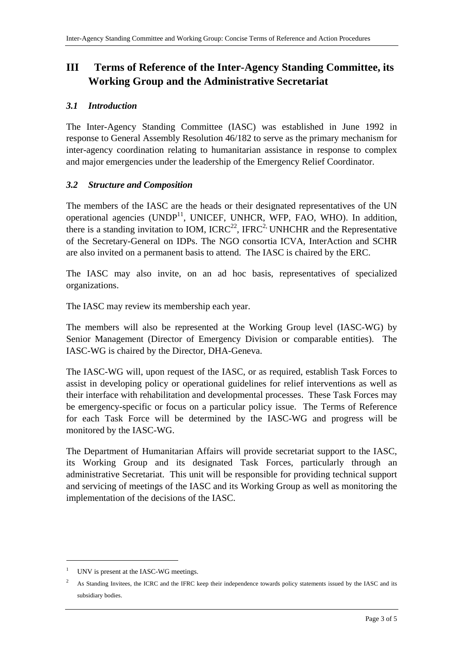# **III Terms of Reference of the Inter-Agency Standing Committee, its Working Group and the Administrative Secretariat**

### *3.1 Introduction*

The Inter-Agency Standing Committee (IASC) was established in June 1992 in response to General Assembly Resolution 46/182 to serve as the primary mechanism for inter-agency coordination relating to humanitarian assistance in response to complex and major emergencies under the leadership of the Emergency Relief Coordinator.

## *3.2 Structure and Composition*

The members of the IASC are the heads or their designated representatives of the UN operational agencies  $(UNDP<sup>11</sup>, UNICEF, UNHCR, WFP, FAO, WHO)$ . In addition, there is a standing invitation to IOM,  $ICRC<sup>22</sup>$ , IFRC<sup>2</sup>, UNHCHR and the Representative of the Secretary-General on IDPs. The NGO consortia ICVA, InterAction and SCHR are also invited on a permanent basis to attend. The IASC is chaired by the ERC.

The IASC may also invite, on an ad hoc basis, representatives of specialized organizations.

The IASC may review its membership each year.

The members will also be represented at the Working Group level (IASC-WG) by Senior Management (Director of Emergency Division or comparable entities). The IASC-WG is chaired by the Director, DHA-Geneva.

The IASC-WG will, upon request of the IASC, or as required, establish Task Forces to assist in developing policy or operational guidelines for relief interventions as well as their interface with rehabilitation and developmental processes. These Task Forces may be emergency-specific or focus on a particular policy issue. The Terms of Reference for each Task Force will be determined by the IASC-WG and progress will be monitored by the IASC-WG.

The Department of Humanitarian Affairs will provide secretariat support to the IASC, its Working Group and its designated Task Forces, particularly through an administrative Secretariat. This unit will be responsible for providing technical support and servicing of meetings of the IASC and its Working Group as well as monitoring the implementation of the decisions of the IASC.

 $\overline{a}$ 

<sup>1</sup> UNV is present at the IASC-WG meetings.

<sup>2</sup> As Standing Invitees, the ICRC and the IFRC keep their independence towards policy statements issued by the IASC and its subsidiary bodies.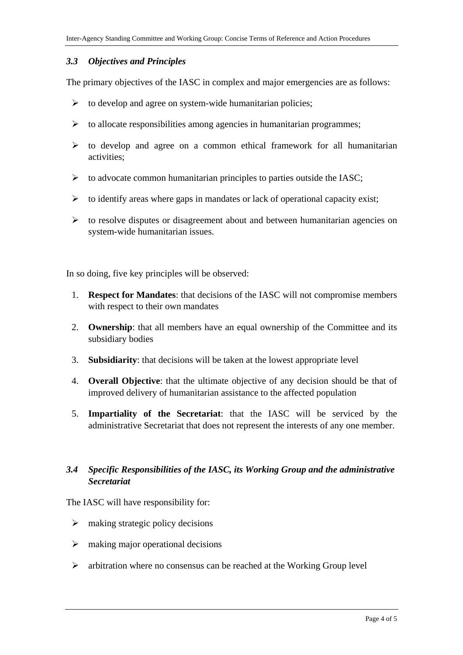#### *3.3 Objectives and Principles*

The primary objectives of the IASC in complex and major emergencies are as follows:

- $\triangleright$  to develop and agree on system-wide humanitarian policies;
- $\triangleright$  to allocate responsibilities among agencies in humanitarian programmes;
- $\triangleright$  to develop and agree on a common ethical framework for all humanitarian activities;
- $\triangleright$  to advocate common humanitarian principles to parties outside the IASC;
- $\triangleright$  to identify areas where gaps in mandates or lack of operational capacity exist;
- $\triangleright$  to resolve disputes or disagreement about and between humanitarian agencies on system-wide humanitarian issues.

In so doing, five key principles will be observed:

- 1. **Respect for Mandates**: that decisions of the IASC will not compromise members with respect to their own mandates
- 2. **Ownership**: that all members have an equal ownership of the Committee and its subsidiary bodies
- 3. **Subsidiarity**: that decisions will be taken at the lowest appropriate level
- 4. **Overall Objective**: that the ultimate objective of any decision should be that of improved delivery of humanitarian assistance to the affected population
- 5. **Impartiality of the Secretariat**: that the IASC will be serviced by the administrative Secretariat that does not represent the interests of any one member.

## *3.4 Specific Responsibilities of the IASC, its Working Group and the administrative Secretariat*

The IASC will have responsibility for:

- $\triangleright$  making strategic policy decisions
- $\triangleright$  making major operational decisions
- $\triangleright$  arbitration where no consensus can be reached at the Working Group level